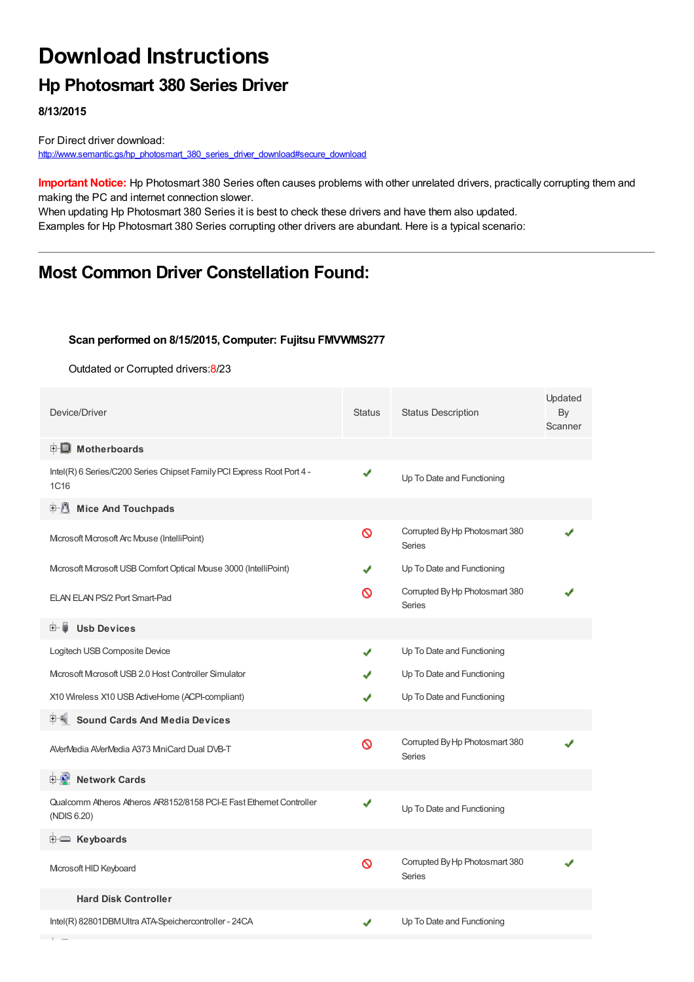# **Download Instructions**

## **Hp Photosmart 380 Series Driver**

**8/13/2015**

For Direct driver download: [http://www.semantic.gs/hp\\_photosmart\\_380\\_series\\_driver\\_download#secure\\_download](http://www.semantic.gs/hp_photosmart_380_series_driver_download#secure_download)

**Important Notice:** Hp Photosmart 380 Series often causes problems with other unrelated drivers, practically corrupting them and making the PC and internet connection slower.

When updating Hp Photosmart 380 Series it is best to check these drivers and have them also updated. Examples for Hp Photosmart 380 Series corrupting other drivers are abundant. Here is a typical scenario:

### **Most Common Driver Constellation Found:**

#### **Scan performed on 8/15/2015, Computer: Fujitsu FMVWMS277**

Outdated or Corrupted drivers:8/23

| Device/Driver                                                                      | <b>Status</b> | <b>Status Description</b>                       | Updated<br>By<br>Scanner |
|------------------------------------------------------------------------------------|---------------|-------------------------------------------------|--------------------------|
| $\mathbf{F}$ Motherboards                                                          |               |                                                 |                          |
| Intel(R) 6 Series/C200 Series Chipset Family PCI Express Root Port 4 -<br>1C16     | ✔             | Up To Date and Functioning                      |                          |
| <b>E</b> Mice And Touchpads                                                        |               |                                                 |                          |
| Microsoft Microsoft Arc Mouse (IntelliPoint)                                       | Ø             | Corrupted By Hp Photosmart 380<br>Series        |                          |
| Mcrosoft Mcrosoft USB Comfort Optical Mouse 3000 (IntelliPoint)                    |               | Up To Date and Functioning                      |                          |
| ELAN ELAN PS/2 Port Smart-Pad                                                      | ര             | Corrupted By Hp Photosmart 380<br>Series        |                          |
| 田… 闄<br><b>Usb Devices</b>                                                         |               |                                                 |                          |
| Logitech USB Composite Device                                                      | J             | Up To Date and Functioning                      |                          |
| Microsoft Microsoft USB 2.0 Host Controller Simulator                              |               | Up To Date and Functioning                      |                          |
| X10 Wireless X10 USB ActiveHome (ACPI-compliant)                                   |               | Up To Date and Functioning                      |                          |
| <b>Sound Cards And Media Devices</b>                                               |               |                                                 |                          |
| AVerMedia AVerMedia A373 MiniCard Dual DVB-T                                       | Ø             | Corrupted By Hp Photosmart 380<br><b>Series</b> |                          |
| 中心 Network Cards                                                                   |               |                                                 |                          |
| Qualcomm Atheros Atheros AR8152/8158 PCI-E Fast Ethernet Controller<br>(NDIS 6.20) | ✔             | Up To Date and Functioning                      |                          |
| E Keyboards                                                                        |               |                                                 |                          |
| Microsoft HID Keyboard                                                             | Ø             | Corrupted By Hp Photosmart 380<br>Series        |                          |
| <b>Hard Disk Controller</b>                                                        |               |                                                 |                          |
| Intel(R) 82801DBM Ultra ATA-Speichercontroller - 24CA                              | ✔             | Up To Date and Functioning                      |                          |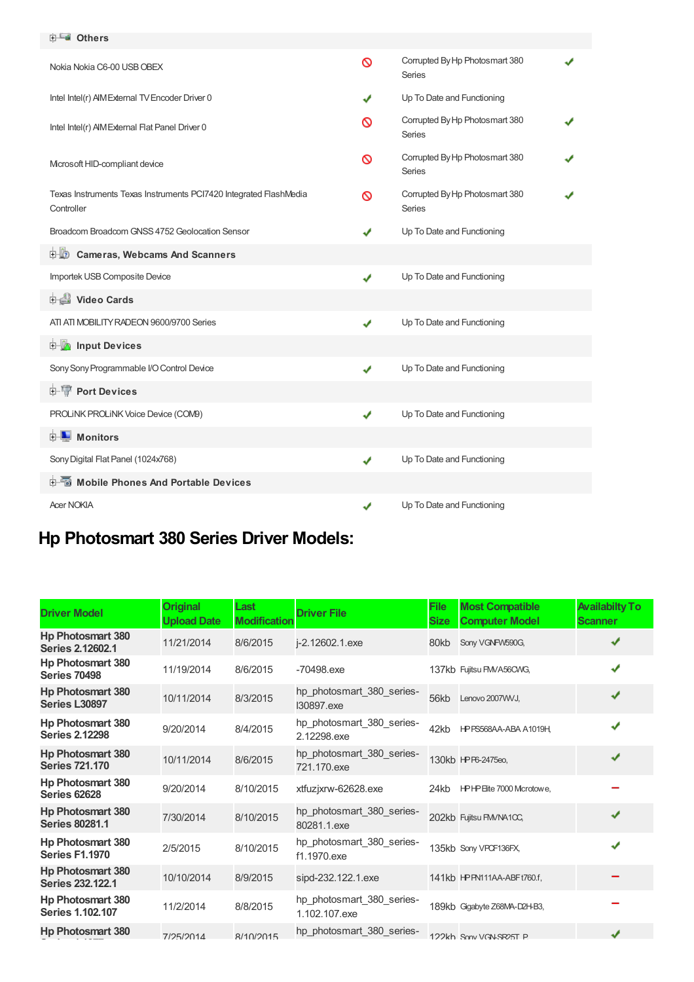#### **Others**

| Nokia Nokia C6-00 USB OBEX                                                      | ଷ | Corrupted By Hp Photosmart 380<br>Series |  |
|---------------------------------------------------------------------------------|---|------------------------------------------|--|
| Intel Intel(r) AIM External TV Encoder Driver 0                                 | ✔ | Up To Date and Functioning               |  |
| Intel Intel(r) AIM External Flat Panel Driver 0                                 | ∾ | Corrupted By Hp Photosmart 380<br>Series |  |
| Microsoft HID-compliant device                                                  | ∾ | Corrupted By Hp Photosmart 380<br>Series |  |
| Texas Instruments Texas Instruments PCI7420 Integrated FlashMedia<br>Controller | ∾ | Corrupted By Hp Photosmart 380<br>Series |  |
| Broadcom Broadcom GNSS 4752 Geolocation Sensor                                  |   | Up To Date and Functioning               |  |
| <b>D</b> Cameras, Webcams And Scanners                                          |   |                                          |  |
| Importek USB Composite Device                                                   | ✔ | Up To Date and Functioning               |  |
| Video Cards                                                                     |   |                                          |  |
| ATI ATI MOBILITY RADEON 9600/9700 Series                                        | ✔ | Up To Date and Functioning               |  |
| <b>E</b> Input Devices                                                          |   |                                          |  |
| Sony Sony Programmable I/O Control Device                                       | ✔ | Up To Date and Functioning               |  |
| 中·W Port Devices                                                                |   |                                          |  |
| PROLINK PROLINK Voice Device (COM9)                                             | ✔ | Up To Date and Functioning               |  |
| <b>E</b> Monitors                                                               |   |                                          |  |
| Sony Digital Flat Panel (1024x768)                                              | ✔ | Up To Date and Functioning               |  |
| <b>E-6</b> Mobile Phones And Portable Devices                                   |   |                                          |  |
| <b>Acer NOKIA</b>                                                               |   | Up To Date and Functioning               |  |

## **Hp Photosmart 380 Series Driver Models:**

| <b>Driver Model</b>                                 | <b>Original</b><br><b>Upload Date</b> | Last<br><b>Modification</b> | <b>Driver File</b>                         | <b>File</b><br><b>Size</b> | <b>Most Compatible</b><br><b>Computer Model</b> | <b>Availabilty To</b><br><b>Scanner</b> |
|-----------------------------------------------------|---------------------------------------|-----------------------------|--------------------------------------------|----------------------------|-------------------------------------------------|-----------------------------------------|
| <b>Hp Photosmart 380</b><br><b>Series 2.12602.1</b> | 11/21/2014                            | 8/6/2015                    | j-2.12602.1.exe                            | 80kb                       | Sony VGNFW590G,                                 | J                                       |
| <b>Hp Photosmart 380</b><br><b>Series 70498</b>     | 11/19/2014                            | 8/6/2015                    | -70498.exe                                 |                            | 137kb Fujitsu FMVA56CWG,                        | J                                       |
| <b>Hp Photosmart 380</b><br><b>Series L30897</b>    | 10/11/2014                            | 8/3/2015                    | hp photosmart 380 series-<br>130897.exe    | 56kb                       | Lenovo 2007WVJ.                                 | ✔                                       |
| <b>Hp Photosmart 380</b><br><b>Series 2.12298</b>   | 9/20/2014                             | 8/4/2015                    | hp_photosmart_380_series-<br>2.12298.exe   | 42kb                       | HPPS568AA-ABA A1019H                            | J                                       |
| <b>Hp Photosmart 380</b><br><b>Series 721,170</b>   | 10/11/2014                            | 8/6/2015                    | hp_photosmart_380_series-<br>721.170.exe   |                            | 130kb HPP6-2475eo,                              | ✔                                       |
| <b>Hp Photosmart 380</b><br><b>Series 62628</b>     | 9/20/2014                             | 8/10/2015                   | xtfuzjxrw-62628.exe                        | 24kb                       | HPHP Eite 7000 Mcrotowe,                        |                                         |
| <b>Hp Photosmart 380</b><br><b>Series 80281.1</b>   | 7/30/2014                             | 8/10/2015                   | hp_photosmart_380_series-<br>80281.1.exe   |                            | 202kb Fujitsu FM/NA1CC,                         | J                                       |
| <b>Hp Photosmart 380</b><br><b>Series F1.1970</b>   | 2/5/2015                              | 8/10/2015                   | hp_photosmart_380_series-<br>f1.1970.exe   |                            | 135kb Sony VPCF136FX                            | J                                       |
| <b>Hp Photosmart 380</b><br><b>Series 232.122.1</b> | 10/10/2014                            | 8/9/2015                    | sipd-232.122.1.exe                         |                            | 141kb HPPN111AA-ABFt760.f,                      |                                         |
| <b>Hp Photosmart 380</b><br><b>Series 1.102.107</b> | 11/2/2014                             | 8/8/2015                    | hp_photosmart_380_series-<br>1.102.107.exe |                            | 189kb Gigabyte Z68MA-D2H-B3,                    |                                         |
| <b>Hp Photosmart 380</b>                            | 7/25/2014                             | 8/10/2015                   | hp_photosmart_380_series-                  |                            | 122kh Sony VGN-SR25T P                          | ✔                                       |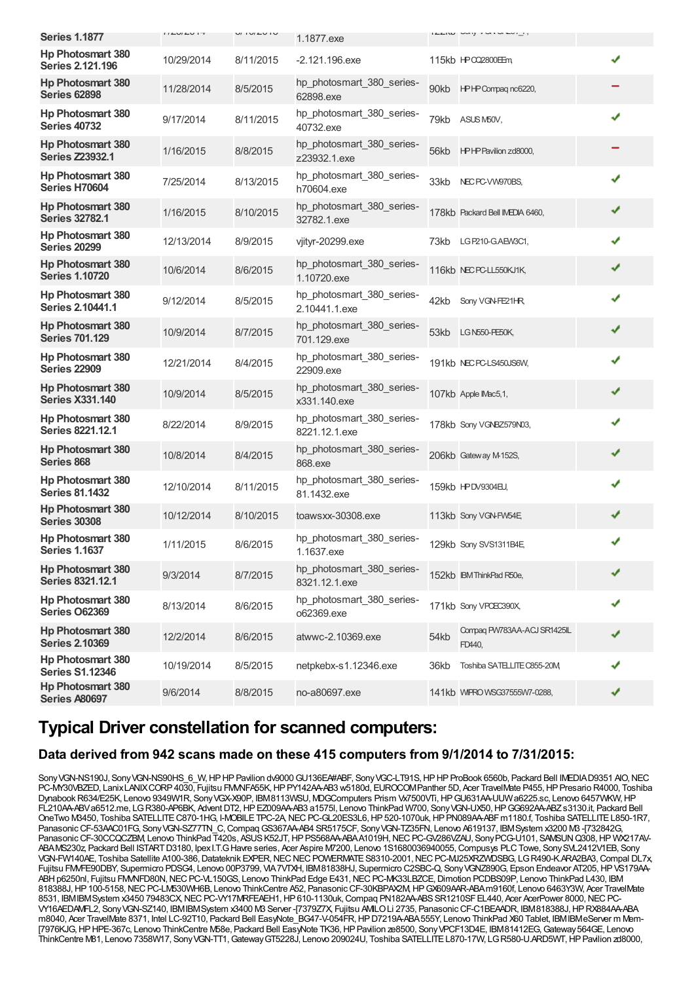| <b>Series 1.1877</b>                                | $I I L U I L U I T$ | U1 U1 U1 U | 1.1877.exe                                 |      | $1221W$ will variously                |   |   |
|-----------------------------------------------------|---------------------|------------|--------------------------------------------|------|---------------------------------------|---|---|
|                                                     |                     |            |                                            |      |                                       |   |   |
| Hp Photosmart 380<br><b>Series 2.121.196</b>        | 10/29/2014          | 8/11/2015  | $-2.121.196$ .exe                          |      | 115kb HPCQ2800EEm                     |   | ✔ |
| <b>Hp Photosmart 380</b><br><b>Series 62898</b>     | 11/28/2014          | 8/5/2015   | hp_photosmart_380_series-<br>62898.exe     | 90kb | HPHP Compaq nc6220,                   |   |   |
| <b>Hp Photosmart 380</b><br><b>Series 40732</b>     | 9/17/2014           | 8/11/2015  | hp_photosmart_380_series-<br>40732.exe     | 79kb | ASUS M50V,                            | ✔ |   |
| <b>Hp Photosmart 380</b><br><b>Series Z23932.1</b>  | 1/16/2015           | 8/8/2015   | hp_photosmart_380_series-<br>z23932.1.exe  |      | 56kb HPHP Pavilion zd8000,            |   |   |
| <b>Hp Photosmart 380</b><br>Series H70604           | 7/25/2014           | 8/13/2015  | hp photosmart 380 series-<br>h70604.exe    | 33kb | NEC PC-VW970BS,                       |   | ✔ |
| <b>Hp Photosmart 380</b><br><b>Series 32782.1</b>   | 1/16/2015           | 8/10/2015  | hp_photosmart_380_series-<br>32782.1.exe   |      | 178kb Packard Bell IMEDIA 6460,       | ✔ |   |
| <b>Hp Photosmart 380</b><br><b>Series 20299</b>     | 12/13/2014          | 8/9/2015   | vjityr-20299.exe                           | 73kb | LG P210-G.AEW3C1,                     |   | ✔ |
| <b>Hp Photosmart 380</b><br><b>Series 1.10720</b>   | 10/6/2014           | 8/6/2015   | hp photosmart 380 series-<br>1.10720.exe   |      | 116kb NEC PC-LL550KJ1K,               | ✔ |   |
| <b>Hp Photosmart 380</b><br><b>Series 2.10441.1</b> | 9/12/2014           | 8/5/2015   | hp_photosmart_380_series-<br>2.10441.1.exe | 42kb | Sony VGN-FE21HR                       | ✔ |   |
| <b>Hp Photosmart 380</b><br><b>Series 701.129</b>   | 10/9/2014           | 8/7/2015   | hp_photosmart_380_series-<br>701.129.exe   |      | 53kb LGN550-PE50K,                    | ✔ |   |
| <b>Hp Photosmart 380</b><br><b>Series 22909</b>     | 12/21/2014          | 8/4/2015   | hp_photosmart_380_series-<br>22909.exe     |      | 191kb NEC PC-LS450JS6W,               | ✔ |   |
| <b>Hp Photosmart 380</b><br><b>Series X331.140</b>  | 10/9/2014           | 8/5/2015   | hp_photosmart_380_series-<br>x331.140.exe  |      | 107kb Apple IMac5,1,                  | ✔ |   |
| <b>Hp Photosmart 380</b><br><b>Series 8221.12.1</b> | 8/22/2014           | 8/9/2015   | hp_photosmart_380_series-<br>8221.12.1.exe |      | 178kb Sony VGNBZ579N03,               | ✔ |   |
| <b>Hp Photosmart 380</b><br>Series 868              | 10/8/2014           | 8/4/2015   | hp_photosmart_380_series-<br>868.exe       |      | 206kb Gateway M-152S,                 | ✔ |   |
| <b>Hp Photosmart 380</b><br><b>Series 81.1432</b>   | 12/10/2014          | 8/11/2015  | hp_photosmart_380_series-<br>81.1432.exe   |      | 159kb HPDV9304EU,                     | ✔ |   |
| <b>Hp Photosmart 380</b><br><b>Series 30308</b>     | 10/12/2014          | 8/10/2015  | toawsxx-30308.exe                          |      | 113kb Sony VGN-FW54E,                 | ✔ |   |
| <b>Hp Photosmart 380</b><br><b>Series 1.1637</b>    | 1/11/2015           | 8/6/2015   | hp_photosmart_380_series-<br>1.1637.exe    |      | 129kb Sony SVS1311B4E,                | ✔ |   |
| <b>Hp Photosmart 380</b><br><b>Series 8321.12.1</b> | 9/3/2014            | 8/7/2015   | hp photosmart 380 series-<br>8321.12.1.exe |      | 152kb IBM ThinkPad R50e,              | ✔ |   |
| <b>Hp Photosmart 380</b><br><b>Series O62369</b>    | 8/13/2014           | 8/6/2015   | hp_photosmart_380_series-<br>o62369.exe    |      | 171kb Sony VPOEC390X,                 | ✔ |   |
| <b>Hp Photosmart 380</b><br><b>Series 2.10369</b>   | 12/2/2014           | 8/6/2015   | atwwc-2.10369.exe                          | 54kb | Compaq PW783AA-ACJ SR1425IL<br>FD440, |   |   |
| <b>Hp Photosmart 380</b><br><b>Series S1.12346</b>  | 10/19/2014          | 8/5/2015   | netpkebx-s1.12346.exe                      | 36kb | Toshiba SATELLITE C855-20M            |   |   |
| <b>Hp Photosmart 380</b><br><b>Series A80697</b>    | 9/6/2014            | 8/8/2015   | no-a80697.exe                              |      | 141kb WIPRO WSG37555W7-0288,          | ✔ |   |

### **Typical Driver constellation for scanned computers:**

### **Data derived from 942 scans made on these 415 computers from 9/1/2014 to 7/31/2015:**

Sony VGN-NS190J, Sony VGN-NS90HS 6 W, HPHP Pavilion dv9000 GU136EA#ABF, Sony VGC-LT91S, HPHP ProBook 6560b, Packard Bell IMEDIAD9351 AIO, NEC PC-MY30VBZED, Lanix LANIX CORP 4030, Fujitsu FM/NFA55K, HP PY142AA-AB3 w5180d, EUROCOM Panther 5D, Acer TravelMate P455, HP Presario R4000, Toshiba Dynabook R634/E25K, Lenovo 9349W1R, Sony VGX-X90P, IBM8113WSU, MDGComputers Prism Vx7500VTi, HP GU631AA-UUW a6225.sc, Lenovo 6457WKW, HP FL210AA-ABVa6512.me, LGR380-AP6BK, Advent DT2, HP EZ009AA-AB3 a1575l, Lenovo ThinkPad W700, Sony VGN-UX50, HP GG692AA-ABZ s3130.it, Packard Bell OneTwo M3450, Toshiba SATELLITE C870-1HG, I-MOBILE TPC-2A, NEC PC-GL20ES3L6, HP 520-1070uk, HP PN089AA-ABF m1180.f, Toshiba SATELLITE L850-1R7, Panasonic CF-53AAC01FG, Sony VGN-SZ77TN C, Compaq GS367AA-AB4 SR5175CF, Sony VGN-TZ35FN, Lenovo A619137, IBMSystem x3200 M3 -[732842G, Panasonic CF-30CCQCZBM, Lenovo ThinkPad T420s, ASUS K52JT, HP PS568AA-ABAA1019H, NEC PC-GV286VZAU, Sony PCG-U101, SAMSUN Q308, HP WX217AV-ABAMS230z, Packard Bell ISTARTD3180, IpexI.T.GHavre series, Acer Aspire M7200, Lenovo 1S1680036940055,Compusys PLCTowe, SonySVL2412V1EB, Sony VGN-FW140AE, Toshiba Satellite A100-386, Datateknik EXPER, NEC NEC POWERMATE S8310-2001, NEC PC-MJ25XRZWDSBG, LG R490-K.ARA2BA3, Compal DL7x, Fujitsu FMVFE90DBY, Supermicro PDSG4, Lenovo 00P3799, VIA7VTXH, IBM81838HJ, Supermicro C2SBC-Q, Sony VGNZ890G, Epson Endeavor AT205, HP VS179AA-ABH p6250nl, Fujitsu FMMFD80N, NEC PC-VL150GS, Lenovo ThinkPad Edge E431, NEC PC-MK33LBZCE, Dimotion PCDBS09P, Lenovo ThinkPad L430, IBM 818388J,HP100-5158,NECPC-LM530WH6B, Lenovo ThinkCentre A52, PanasonicCF-30KBPAX2M,HPGX609AAR-ABAm9160f, Lenovo 6463Y3W, Acer TravelMate 8531, IBMIBMSystem x3450 79483CX, NEC PC-VY17MRFEAEH1, HP 610-1130uk, Compaq PN182AA-ABS SR1210SF EL440, Acer AcerPower 8000, NEC PC VY16AEDAMFL2, SonyVGN-SZ140, IBMIBMSystem x3400 M3 Server -[7379Z7X, Fujitsu AMILOLi 2735, PanasonicCF-C1BEAADR, IBM818388J,HPRX884AA-ABA m8040, Acer TravelMate 8371, Intel LC-92T10, Packard Bell EasyNote\_BG47-V-054FR,HPD7219A-ABA555Y, Lenovo ThinkPad X60 Tablet, IBMIBMeServer m Mem- [7976KJG,HPHPE-367c, Lenovo ThinkCentre M58e, Packard Bell EasyNote TK36,HPPavilion ze8500, SonyVPCF13D4E, IBM81412EG,Gateway564GE, Lenovo ThinkCentre M81, Lenovo 7358W17, SonyVGN-TT1,GatewayGT5228J, Lenovo 209024U, Toshiba SATELLITEL870-17W, LGR580-U.ARD5WT,HPPavilion zd8000,